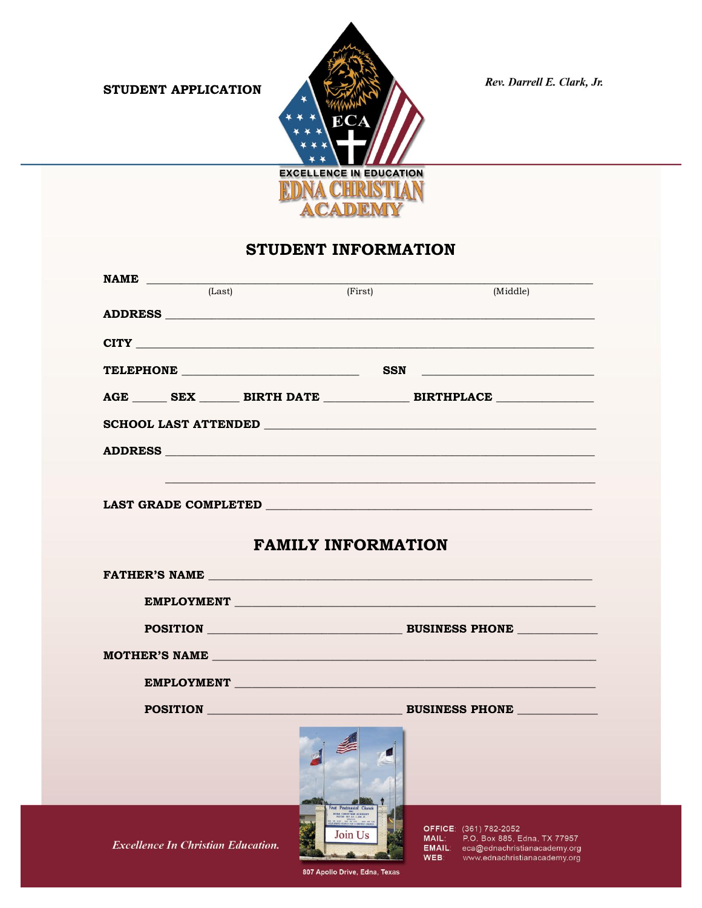STUDENT APPLICATION



Rev. Darrell E. Clark, Jr.

## STUDENT INFORMATION

| (First)<br>(Middle)<br>CITY LEADERS AND RESIDENCE AND RESIDENCE AND RESIDENCE AND RESIDENCE AND RESIDENCE AND RESIDENCE AND RESIDENCE<br>TELEPHONE SSN<br><u> 1980 - John Stein, Amerikaansk politiker (</u><br>AGE SEX BIRTH DATE BIRTHPLACE |
|-----------------------------------------------------------------------------------------------------------------------------------------------------------------------------------------------------------------------------------------------|
|                                                                                                                                                                                                                                               |
|                                                                                                                                                                                                                                               |
|                                                                                                                                                                                                                                               |
|                                                                                                                                                                                                                                               |
|                                                                                                                                                                                                                                               |
|                                                                                                                                                                                                                                               |
|                                                                                                                                                                                                                                               |
|                                                                                                                                                                                                                                               |
| <b>LAST GRADE COMPLETED EXAMPLEMENT COMPLETED</b>                                                                                                                                                                                             |
|                                                                                                                                                                                                                                               |
| <b>FAMILY INFORMATION</b>                                                                                                                                                                                                                     |
|                                                                                                                                                                                                                                               |
| EMPLOYMENT                                                                                                                                                                                                                                    |
|                                                                                                                                                                                                                                               |
|                                                                                                                                                                                                                                               |
| EMPLOYMENT                                                                                                                                                                                                                                    |
| POSITION BUSINESS PHONE                                                                                                                                                                                                                       |
| Find Pentecental Ch<br><b>EDRA CHRISTIAN ACROSMY</b><br>OFFICE: (361) 782-2052<br>Join Us<br>MAIL: P.O. Box 885, Edna, TX 77957<br><b>EMAIL:</b> eca@ednachristianacademy.org                                                                 |
|                                                                                                                                                                                                                                               |

807 Apollo Drive, Edna, Texas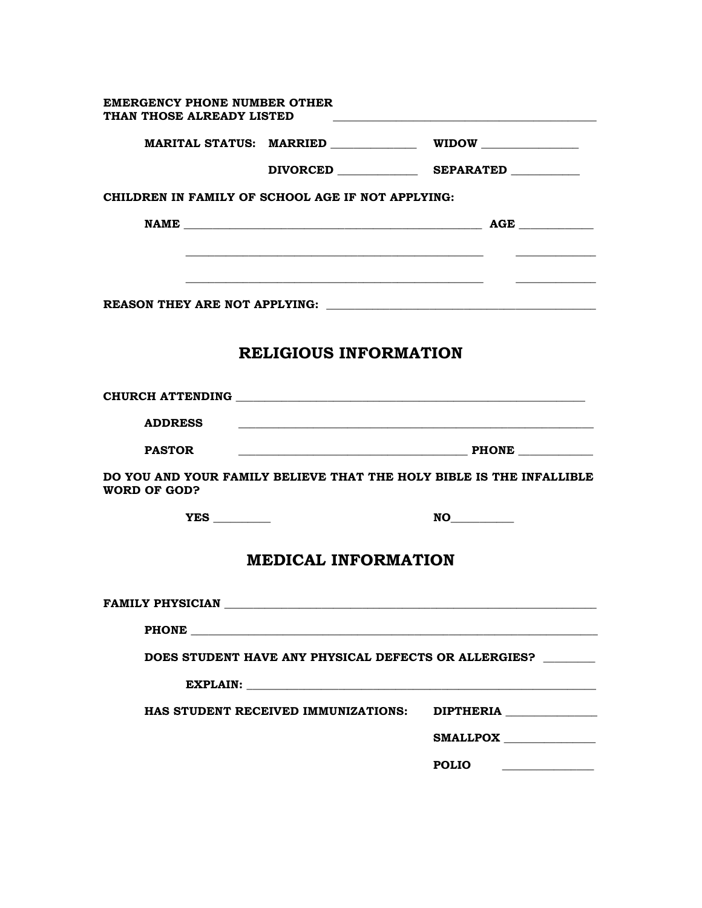| <b>EMERGENCY PHONE NUMBER OTHER</b><br>THAN THOSE ALREADY LISTED |                                                           |                                                                                                                        |
|------------------------------------------------------------------|-----------------------------------------------------------|------------------------------------------------------------------------------------------------------------------------|
|                                                                  | MARITAL STATUS: MARRIED _____________ WIDOW _____________ |                                                                                                                        |
|                                                                  |                                                           | DIVORCED SEPARATED                                                                                                     |
|                                                                  | CHILDREN IN FAMILY OF SCHOOL AGE IF NOT APPLYING:         |                                                                                                                        |
|                                                                  |                                                           |                                                                                                                        |
|                                                                  |                                                           |                                                                                                                        |
|                                                                  |                                                           |                                                                                                                        |
|                                                                  |                                                           |                                                                                                                        |
|                                                                  |                                                           |                                                                                                                        |
|                                                                  | <b>RELIGIOUS INFORMATION</b>                              |                                                                                                                        |
|                                                                  |                                                           |                                                                                                                        |
| <b>ADDRESS</b>                                                   |                                                           | <u> 1989 - Johann John Stoff, deutscher Stoffen und der Stoffen und der Stoffen und der Stoffen und der Stoffen un</u> |
| <b>PASTOR</b>                                                    |                                                           |                                                                                                                        |
| WORD OF GOD?                                                     |                                                           | DO YOU AND YOUR FAMILY BELIEVE THAT THE HOLY BIBLE IS THE INFALLIBLE                                                   |
|                                                                  |                                                           |                                                                                                                        |
|                                                                  | <b>MEDICAL INFORMATION</b>                                |                                                                                                                        |
| <b>FAMILY PHYSICIAN</b>                                          |                                                           |                                                                                                                        |
|                                                                  | <b>PHONE</b>                                              |                                                                                                                        |
|                                                                  |                                                           | DOES STUDENT HAVE ANY PHYSICAL DEFECTS OR ALLERGIES?                                                                   |
|                                                                  |                                                           |                                                                                                                        |
|                                                                  | HAS STUDENT RECEIVED IMMUNIZATIONS:                       | <b>DIPTHERIA</b>                                                                                                       |
|                                                                  |                                                           | SMALLPOX                                                                                                               |
|                                                                  |                                                           | <b>POLIO</b>                                                                                                           |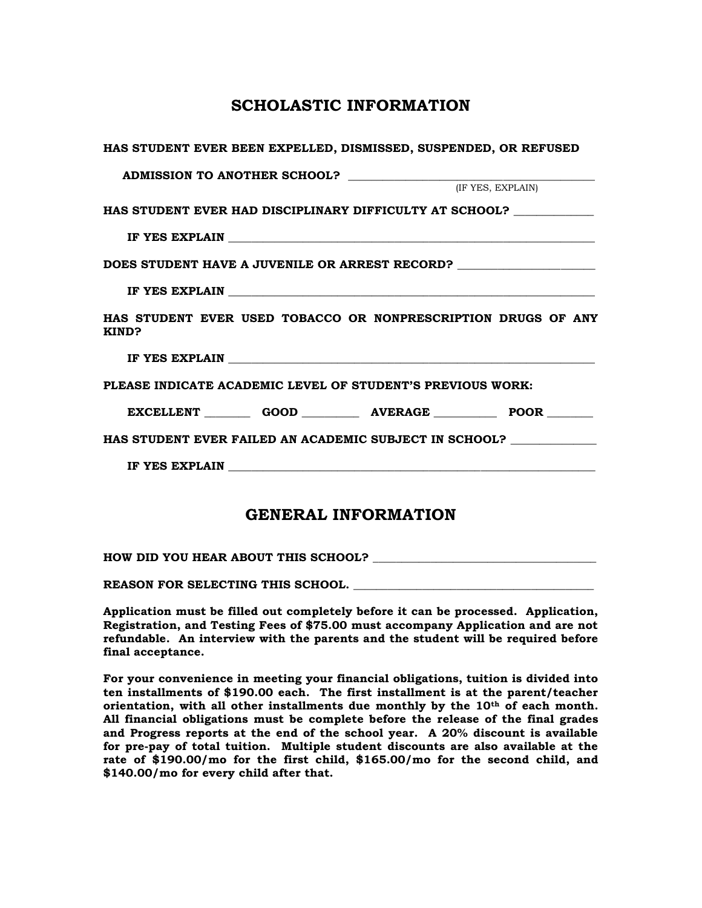## **SCHOLASTIC INFORMATION**

| HAS STUDENT EVER BEEN EXPELLED, DISMISSED, SUSPENDED, OR REFUSED                  |                   |
|-----------------------------------------------------------------------------------|-------------------|
| ADMISSION TO ANOTHER SCHOOL?                                                      |                   |
|                                                                                   | (IF YES, EXPLAIN) |
| HAS STUDENT EVER HAD DISCIPLINARY DIFFICULTY AT SCHOOL? ___________               |                   |
|                                                                                   |                   |
| DOES STUDENT HAVE A JUVENILE OR ARREST RECORD? __________________________________ |                   |
|                                                                                   |                   |
| HAS STUDENT EVER USED TOBACCO OR NONPRESCRIPTION DRUGS OF ANY<br>KIND?            |                   |
|                                                                                   |                   |
| PLEASE INDICATE ACADEMIC LEVEL OF STUDENT'S PREVIOUS WORK:                        |                   |
| EXCELLENT GOOD __________ AVERAGE ____________ POOR ________                      |                   |
| HAS STUDENT EVER FAILED AN ACADEMIC SUBJECT IN SCHOOL? ____________               |                   |
|                                                                                   |                   |
|                                                                                   |                   |

## **GENERAL INFORMATION**

| HOW DID YOU HEAR ABOUT THIS SCHOOL? |  |
|-------------------------------------|--|
|                                     |  |

**REASON FOR SELECTING THIS SCHOOL. \_\_\_\_\_\_\_\_\_\_\_\_\_\_\_\_\_\_\_\_\_\_\_\_\_\_\_\_\_\_\_\_\_\_\_\_\_\_\_\_\_\_** 

**Application must be filled out completely before it can be processed. Application, Registration, and Testing Fees of \$75.00 must accompany Application and are not refundable. An interview with the parents and the student will be required before final acceptance.** 

**For your convenience in meeting your financial obligations, tuition is divided into ten installments of \$190.00 each. The first installment is at the parent/teacher orientation, with all other installments due monthly by the 10th of each month. All financial obligations must be complete before the release of the final grades and Progress reports at the end of the school year. A 20% discount is available for pre-pay of total tuition. Multiple student discounts are also available at the rate of \$190.00/mo for the first child, \$165.00/mo for the second child, and \$140.00/mo for every child after that.**